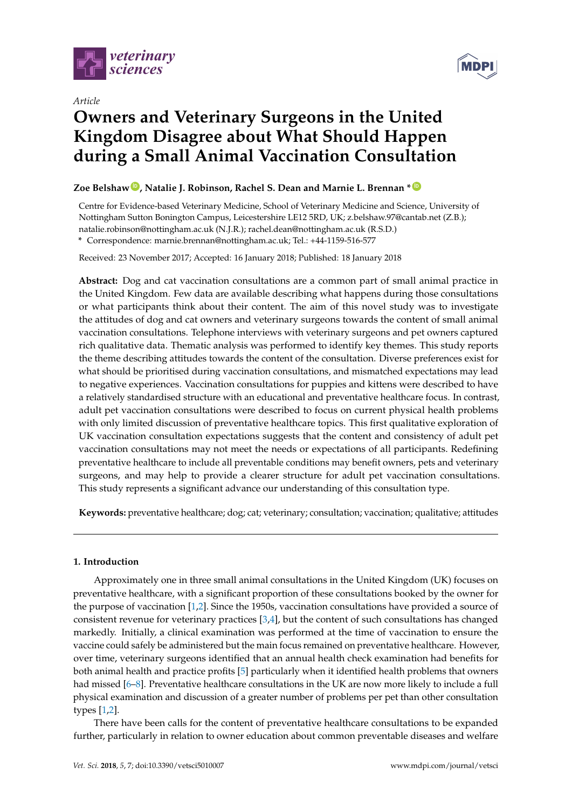

*Article*



# **Owners and Veterinary Surgeons in the United Kingdom Disagree about What Should Happen during a Small Animal Vaccination Consultation**

## **Zoe Belshaw [ID](https://orcid.org/0000-0002-5652-3324) , Natalie J. Robinson, Rachel S. Dean and Marnie L. Brennan \* [ID](https://orcid.org/0000-0002-4893-6583)**

Centre for Evidence-based Veterinary Medicine, School of Veterinary Medicine and Science, University of Nottingham Sutton Bonington Campus, Leicestershire LE12 5RD, UK; z.belshaw.97@cantab.net (Z.B.); natalie.robinson@nottingham.ac.uk (N.J.R.); rachel.dean@nottingham.ac.uk (R.S.D.) **\*** Correspondence: marnie.brennan@nottingham.ac.uk; Tel.: +44-1159-516-577

Received: 23 November 2017; Accepted: 16 January 2018; Published: 18 January 2018

**Abstract:** Dog and cat vaccination consultations are a common part of small animal practice in the United Kingdom. Few data are available describing what happens during those consultations or what participants think about their content. The aim of this novel study was to investigate the attitudes of dog and cat owners and veterinary surgeons towards the content of small animal vaccination consultations. Telephone interviews with veterinary surgeons and pet owners captured rich qualitative data. Thematic analysis was performed to identify key themes. This study reports the theme describing attitudes towards the content of the consultation. Diverse preferences exist for what should be prioritised during vaccination consultations, and mismatched expectations may lead to negative experiences. Vaccination consultations for puppies and kittens were described to have a relatively standardised structure with an educational and preventative healthcare focus. In contrast, adult pet vaccination consultations were described to focus on current physical health problems with only limited discussion of preventative healthcare topics. This first qualitative exploration of UK vaccination consultation expectations suggests that the content and consistency of adult pet vaccination consultations may not meet the needs or expectations of all participants. Redefining preventative healthcare to include all preventable conditions may benefit owners, pets and veterinary surgeons, and may help to provide a clearer structure for adult pet vaccination consultations. This study represents a significant advance our understanding of this consultation type.

**Keywords:** preventative healthcare; dog; cat; veterinary; consultation; vaccination; qualitative; attitudes

## **1. Introduction**

Approximately one in three small animal consultations in the United Kingdom (UK) focuses on preventative healthcare, with a significant proportion of these consultations booked by the owner for the purpose of vaccination [\[1,](#page-9-0)[2\]](#page-9-1). Since the 1950s, vaccination consultations have provided a source of consistent revenue for veterinary practices [\[3](#page-9-2)[,4\]](#page-9-3), but the content of such consultations has changed markedly. Initially, a clinical examination was performed at the time of vaccination to ensure the vaccine could safely be administered but the main focus remained on preventative healthcare. However, over time, veterinary surgeons identified that an annual health check examination had benefits for both animal health and practice profits [\[5\]](#page-9-4) particularly when it identified health problems that owners had missed [\[6](#page-9-5)[–8\]](#page-9-6). Preventative healthcare consultations in the UK are now more likely to include a full physical examination and discussion of a greater number of problems per pet than other consultation types [\[1,](#page-9-0)[2\]](#page-9-1).

There have been calls for the content of preventative healthcare consultations to be expanded further, particularly in relation to owner education about common preventable diseases and welfare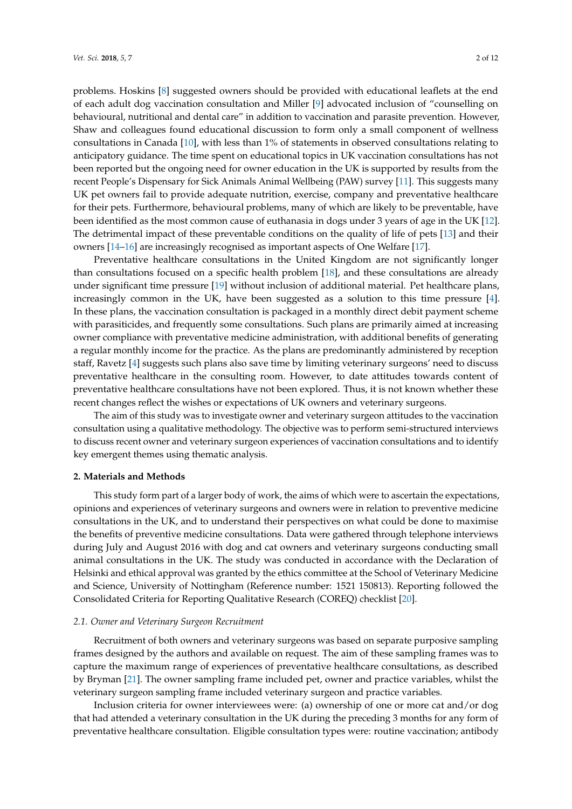problems. Hoskins [\[8\]](#page-9-6) suggested owners should be provided with educational leaflets at the end of each adult dog vaccination consultation and Miller [\[9\]](#page-9-7) advocated inclusion of "counselling on behavioural, nutritional and dental care" in addition to vaccination and parasite prevention. However, Shaw and colleagues found educational discussion to form only a small component of wellness consultations in Canada [\[10\]](#page-9-8), with less than 1% of statements in observed consultations relating to anticipatory guidance. The time spent on educational topics in UK vaccination consultations has not been reported but the ongoing need for owner education in the UK is supported by results from the recent People's Dispensary for Sick Animals Animal Wellbeing (PAW) survey [\[11\]](#page-9-9). This suggests many UK pet owners fail to provide adequate nutrition, exercise, company and preventative healthcare for their pets. Furthermore, behavioural problems, many of which are likely to be preventable, have been identified as the most common cause of euthanasia in dogs under 3 years of age in the UK [\[12\]](#page-9-10). The detrimental impact of these preventable conditions on the quality of life of pets [\[13\]](#page-9-11) and their owners [\[14–](#page-9-12)[16\]](#page-10-0) are increasingly recognised as important aspects of One Welfare [\[17\]](#page-10-1).

Preventative healthcare consultations in the United Kingdom are not significantly longer than consultations focused on a specific health problem [\[18\]](#page-10-2), and these consultations are already under significant time pressure [\[19\]](#page-10-3) without inclusion of additional material. Pet healthcare plans, increasingly common in the UK, have been suggested as a solution to this time pressure [\[4\]](#page-9-3). In these plans, the vaccination consultation is packaged in a monthly direct debit payment scheme with parasiticides, and frequently some consultations. Such plans are primarily aimed at increasing owner compliance with preventative medicine administration, with additional benefits of generating a regular monthly income for the practice. As the plans are predominantly administered by reception staff, Ravetz [\[4\]](#page-9-3) suggests such plans also save time by limiting veterinary surgeons' need to discuss preventative healthcare in the consulting room. However, to date attitudes towards content of preventative healthcare consultations have not been explored. Thus, it is not known whether these recent changes reflect the wishes or expectations of UK owners and veterinary surgeons.

The aim of this study was to investigate owner and veterinary surgeon attitudes to the vaccination consultation using a qualitative methodology. The objective was to perform semi-structured interviews to discuss recent owner and veterinary surgeon experiences of vaccination consultations and to identify key emergent themes using thematic analysis.

#### **2. Materials and Methods**

This study form part of a larger body of work, the aims of which were to ascertain the expectations, opinions and experiences of veterinary surgeons and owners were in relation to preventive medicine consultations in the UK, and to understand their perspectives on what could be done to maximise the benefits of preventive medicine consultations. Data were gathered through telephone interviews during July and August 2016 with dog and cat owners and veterinary surgeons conducting small animal consultations in the UK. The study was conducted in accordance with the Declaration of Helsinki and ethical approval was granted by the ethics committee at the School of Veterinary Medicine and Science, University of Nottingham (Reference number: 1521 150813). Reporting followed the Consolidated Criteria for Reporting Qualitative Research (COREQ) checklist [\[20\]](#page-10-4).

#### *2.1. Owner and Veterinary Surgeon Recruitment*

Recruitment of both owners and veterinary surgeons was based on separate purposive sampling frames designed by the authors and available on request. The aim of these sampling frames was to capture the maximum range of experiences of preventative healthcare consultations, as described by Bryman [\[21\]](#page-10-5). The owner sampling frame included pet, owner and practice variables, whilst the veterinary surgeon sampling frame included veterinary surgeon and practice variables.

Inclusion criteria for owner interviewees were: (a) ownership of one or more cat and/or dog that had attended a veterinary consultation in the UK during the preceding 3 months for any form of preventative healthcare consultation. Eligible consultation types were: routine vaccination; antibody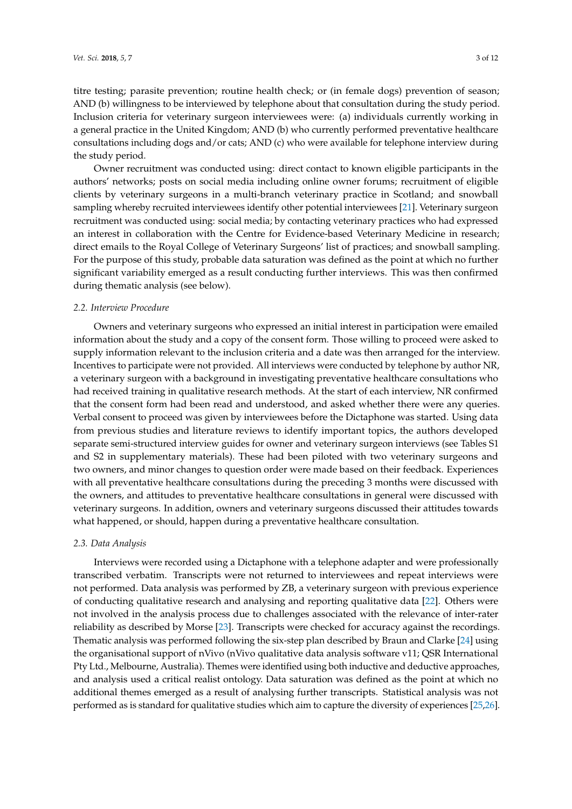titre testing; parasite prevention; routine health check; or (in female dogs) prevention of season; AND (b) willingness to be interviewed by telephone about that consultation during the study period. Inclusion criteria for veterinary surgeon interviewees were: (a) individuals currently working in

a general practice in the United Kingdom; AND (b) who currently performed preventative healthcare consultations including dogs and/or cats; AND (c) who were available for telephone interview during the study period.

Owner recruitment was conducted using: direct contact to known eligible participants in the authors' networks; posts on social media including online owner forums; recruitment of eligible clients by veterinary surgeons in a multi-branch veterinary practice in Scotland; and snowball sampling whereby recruited interviewees identify other potential interviewees [\[21\]](#page-10-5). Veterinary surgeon recruitment was conducted using: social media; by contacting veterinary practices who had expressed an interest in collaboration with the Centre for Evidence-based Veterinary Medicine in research; direct emails to the Royal College of Veterinary Surgeons' list of practices; and snowball sampling. For the purpose of this study, probable data saturation was defined as the point at which no further significant variability emerged as a result conducting further interviews. This was then confirmed during thematic analysis (see below).

## *2.2. Interview Procedure*

Owners and veterinary surgeons who expressed an initial interest in participation were emailed information about the study and a copy of the consent form. Those willing to proceed were asked to supply information relevant to the inclusion criteria and a date was then arranged for the interview. Incentives to participate were not provided. All interviews were conducted by telephone by author NR, a veterinary surgeon with a background in investigating preventative healthcare consultations who had received training in qualitative research methods. At the start of each interview, NR confirmed that the consent form had been read and understood, and asked whether there were any queries. Verbal consent to proceed was given by interviewees before the Dictaphone was started. Using data from previous studies and literature reviews to identify important topics, the authors developed separate semi-structured interview guides for owner and veterinary surgeon interviews (see Tables S1 and S2 in supplementary materials). These had been piloted with two veterinary surgeons and two owners, and minor changes to question order were made based on their feedback. Experiences with all preventative healthcare consultations during the preceding 3 months were discussed with the owners, and attitudes to preventative healthcare consultations in general were discussed with veterinary surgeons. In addition, owners and veterinary surgeons discussed their attitudes towards what happened, or should, happen during a preventative healthcare consultation.

#### *2.3. Data Analysis*

Interviews were recorded using a Dictaphone with a telephone adapter and were professionally transcribed verbatim. Transcripts were not returned to interviewees and repeat interviews were not performed. Data analysis was performed by ZB, a veterinary surgeon with previous experience of conducting qualitative research and analysing and reporting qualitative data [\[22\]](#page-10-6). Others were not involved in the analysis process due to challenges associated with the relevance of inter-rater reliability as described by Morse [\[23\]](#page-10-7). Transcripts were checked for accuracy against the recordings. Thematic analysis was performed following the six-step plan described by Braun and Clarke [\[24\]](#page-10-8) using the organisational support of nVivo (nVivo qualitative data analysis software v11; QSR International Pty Ltd., Melbourne, Australia). Themes were identified using both inductive and deductive approaches, and analysis used a critical realist ontology. Data saturation was defined as the point at which no additional themes emerged as a result of analysing further transcripts. Statistical analysis was not performed as is standard for qualitative studies which aim to capture the diversity of experiences [\[25,](#page-10-9)[26\]](#page-10-10).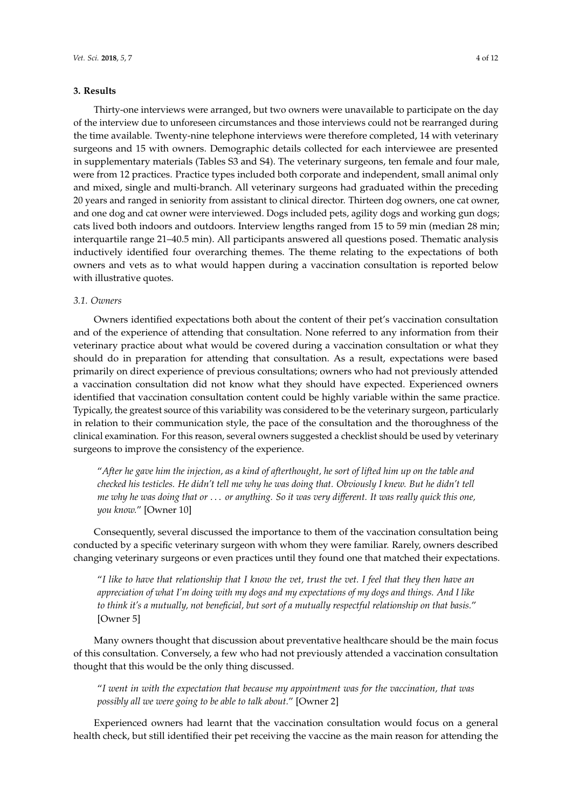#### **3. Results**

Thirty-one interviews were arranged, but two owners were unavailable to participate on the day of the interview due to unforeseen circumstances and those interviews could not be rearranged during the time available. Twenty-nine telephone interviews were therefore completed, 14 with veterinary surgeons and 15 with owners. Demographic details collected for each interviewee are presented in supplementary materials (Tables S3 and S4). The veterinary surgeons, ten female and four male, were from 12 practices. Practice types included both corporate and independent, small animal only and mixed, single and multi-branch. All veterinary surgeons had graduated within the preceding 20 years and ranged in seniority from assistant to clinical director. Thirteen dog owners, one cat owner, and one dog and cat owner were interviewed. Dogs included pets, agility dogs and working gun dogs; cats lived both indoors and outdoors. Interview lengths ranged from 15 to 59 min (median 28 min; interquartile range 21–40.5 min). All participants answered all questions posed. Thematic analysis inductively identified four overarching themes. The theme relating to the expectations of both owners and vets as to what would happen during a vaccination consultation is reported below with illustrative quotes.

#### *3.1. Owners*

Owners identified expectations both about the content of their pet's vaccination consultation and of the experience of attending that consultation. None referred to any information from their veterinary practice about what would be covered during a vaccination consultation or what they should do in preparation for attending that consultation. As a result, expectations were based primarily on direct experience of previous consultations; owners who had not previously attended a vaccination consultation did not know what they should have expected. Experienced owners identified that vaccination consultation content could be highly variable within the same practice. Typically, the greatest source of this variability was considered to be the veterinary surgeon, particularly in relation to their communication style, the pace of the consultation and the thoroughness of the clinical examination. For this reason, several owners suggested a checklist should be used by veterinary surgeons to improve the consistency of the experience.

"*After he gave him the injection, as a kind of afterthought, he sort of lifted him up on the table and checked his testicles. He didn't tell me why he was doing that. Obviously I knew. But he didn't tell me why he was doing that or* . . . *or anything. So it was very different. It was really quick this one, you know.*" [Owner 10]

Consequently, several discussed the importance to them of the vaccination consultation being conducted by a specific veterinary surgeon with whom they were familiar. Rarely, owners described changing veterinary surgeons or even practices until they found one that matched their expectations.

"*I like to have that relationship that I know the vet, trust the vet. I feel that they then have an appreciation of what I'm doing with my dogs and my expectations of my dogs and things. And I like to think it's a mutually, not beneficial, but sort of a mutually respectful relationship on that basis.*" [Owner 5]

Many owners thought that discussion about preventative healthcare should be the main focus of this consultation. Conversely, a few who had not previously attended a vaccination consultation thought that this would be the only thing discussed.

"*I went in with the expectation that because my appointment was for the vaccination, that was possibly all we were going to be able to talk about.*" [Owner 2]

Experienced owners had learnt that the vaccination consultation would focus on a general health check, but still identified their pet receiving the vaccine as the main reason for attending the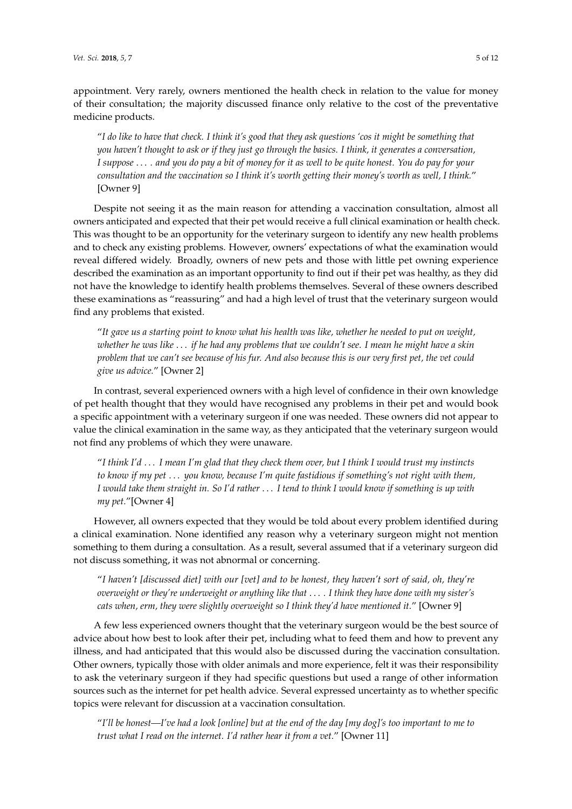appointment. Very rarely, owners mentioned the health check in relation to the value for money of their consultation; the majority discussed finance only relative to the cost of the preventative medicine products.

"*I do like to have that check. I think it's good that they ask questions 'cos it might be something that you haven't thought to ask or if they just go through the basics. I think, it generates a conversation, I suppose* . . . *. and you do pay a bit of money for it as well to be quite honest. You do pay for your consultation and the vaccination so I think it's worth getting their money's worth as well, I think.*" [Owner 9]

Despite not seeing it as the main reason for attending a vaccination consultation, almost all owners anticipated and expected that their pet would receive a full clinical examination or health check. This was thought to be an opportunity for the veterinary surgeon to identify any new health problems and to check any existing problems. However, owners' expectations of what the examination would reveal differed widely. Broadly, owners of new pets and those with little pet owning experience described the examination as an important opportunity to find out if their pet was healthy, as they did not have the knowledge to identify health problems themselves. Several of these owners described these examinations as "reassuring" and had a high level of trust that the veterinary surgeon would find any problems that existed.

"*It gave us a starting point to know what his health was like, whether he needed to put on weight, whether he was like* . . . *if he had any problems that we couldn't see. I mean he might have a skin problem that we can't see because of his fur. And also because this is our very first pet, the vet could give us advice.*" [Owner 2]

In contrast, several experienced owners with a high level of confidence in their own knowledge of pet health thought that they would have recognised any problems in their pet and would book a specific appointment with a veterinary surgeon if one was needed. These owners did not appear to value the clinical examination in the same way, as they anticipated that the veterinary surgeon would not find any problems of which they were unaware.

"*I think I'd* . . . *I mean I'm glad that they check them over, but I think I would trust my instincts to know if my pet* . . . *you know, because I'm quite fastidious if something's not right with them, I would take them straight in. So I'd rather* . . . *I tend to think I would know if something is up with my pet.*"[Owner 4]

However, all owners expected that they would be told about every problem identified during a clinical examination. None identified any reason why a veterinary surgeon might not mention something to them during a consultation. As a result, several assumed that if a veterinary surgeon did not discuss something, it was not abnormal or concerning.

"*I haven't [discussed diet] with our [vet] and to be honest, they haven't sort of said, oh, they're overweight or they're underweight or anything like that* . . . *. I think they have done with my sister's cats when, erm, they were slightly overweight so I think they'd have mentioned it.*" [Owner 9]

A few less experienced owners thought that the veterinary surgeon would be the best source of advice about how best to look after their pet, including what to feed them and how to prevent any illness, and had anticipated that this would also be discussed during the vaccination consultation. Other owners, typically those with older animals and more experience, felt it was their responsibility to ask the veterinary surgeon if they had specific questions but used a range of other information sources such as the internet for pet health advice. Several expressed uncertainty as to whether specific topics were relevant for discussion at a vaccination consultation.

"*I'll be honest—I've had a look [online] but at the end of the day [my dog]'s too important to me to trust what I read on the internet. I'd rather hear it from a vet.*" [Owner 11]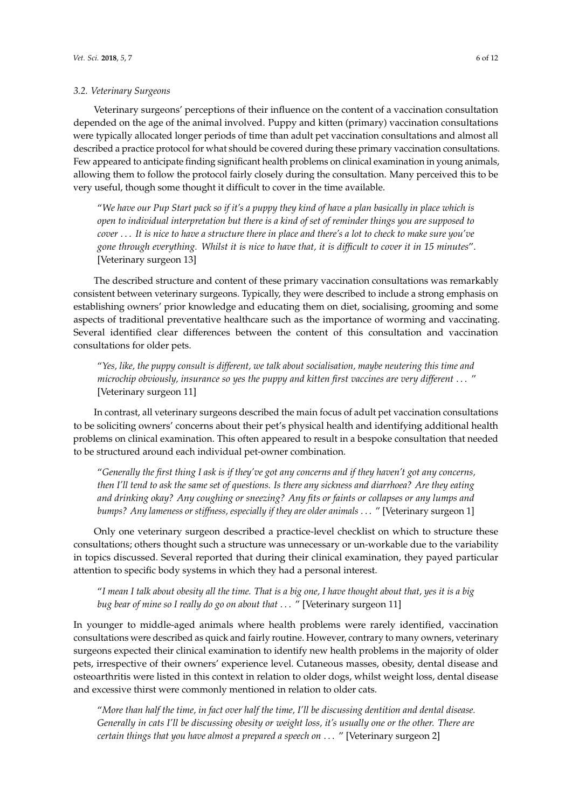#### *3.2. Veterinary Surgeons*

Veterinary surgeons' perceptions of their influence on the content of a vaccination consultation depended on the age of the animal involved. Puppy and kitten (primary) vaccination consultations were typically allocated longer periods of time than adult pet vaccination consultations and almost all described a practice protocol for what should be covered during these primary vaccination consultations. Few appeared to anticipate finding significant health problems on clinical examination in young animals, allowing them to follow the protocol fairly closely during the consultation. Many perceived this to be very useful, though some thought it difficult to cover in the time available.

"*We have our Pup Start pack so if it's a puppy they kind of have a plan basically in place which is open to individual interpretation but there is a kind of set of reminder things you are supposed to cover* . . . *It is nice to have a structure there in place and there's a lot to check to make sure you've gone through everything. Whilst it is nice to have that, it is difficult to cover it in 15 minutes*". [Veterinary surgeon 13]

The described structure and content of these primary vaccination consultations was remarkably consistent between veterinary surgeons. Typically, they were described to include a strong emphasis on establishing owners' prior knowledge and educating them on diet, socialising, grooming and some aspects of traditional preventative healthcare such as the importance of worming and vaccinating. Several identified clear differences between the content of this consultation and vaccination consultations for older pets.

"*Yes, like, the puppy consult is different, we talk about socialisation, maybe neutering this time and microchip obviously, insurance so yes the puppy and kitten first vaccines are very different* . . . " [Veterinary surgeon 11]

In contrast, all veterinary surgeons described the main focus of adult pet vaccination consultations to be soliciting owners' concerns about their pet's physical health and identifying additional health problems on clinical examination. This often appeared to result in a bespoke consultation that needed to be structured around each individual pet-owner combination.

"*Generally the first thing I ask is if they've got any concerns and if they haven't got any concerns, then I'll tend to ask the same set of questions. Is there any sickness and diarrhoea? Are they eating and drinking okay? Any coughing or sneezing? Any fits or faints or collapses or any lumps and bumps? Any lameness or stiffness, especially if they are older animals* . . . " [Veterinary surgeon 1]

Only one veterinary surgeon described a practice-level checklist on which to structure these consultations; others thought such a structure was unnecessary or un-workable due to the variability in topics discussed. Several reported that during their clinical examination, they payed particular attention to specific body systems in which they had a personal interest.

"*I mean I talk about obesity all the time. That is a big one, I have thought about that, yes it is a big bug bear of mine so I really do go on about that* . . . " [Veterinary surgeon 11]

In younger to middle-aged animals where health problems were rarely identified, vaccination consultations were described as quick and fairly routine. However, contrary to many owners, veterinary surgeons expected their clinical examination to identify new health problems in the majority of older pets, irrespective of their owners' experience level. Cutaneous masses, obesity, dental disease and osteoarthritis were listed in this context in relation to older dogs, whilst weight loss, dental disease and excessive thirst were commonly mentioned in relation to older cats.

"*More than half the time, in fact over half the time, I'll be discussing dentition and dental disease. Generally in cats I'll be discussing obesity or weight loss, it's usually one or the other. There are certain things that you have almost a prepared a speech on* . . . " [Veterinary surgeon 2]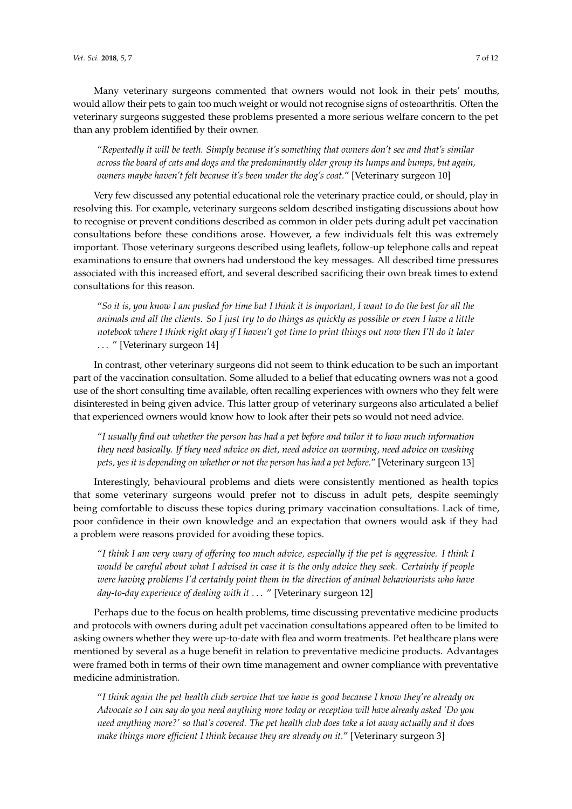Many veterinary surgeons commented that owners would not look in their pets' mouths, would allow their pets to gain too much weight or would not recognise signs of osteoarthritis. Often the veterinary surgeons suggested these problems presented a more serious welfare concern to the pet than any problem identified by their owner.

"*Repeatedly it will be teeth. Simply because it's something that owners don't see and that's similar across the board of cats and dogs and the predominantly older group its lumps and bumps, but again, owners maybe haven't felt because it's been under the dog's coat.*" [Veterinary surgeon 10]

Very few discussed any potential educational role the veterinary practice could, or should, play in resolving this. For example, veterinary surgeons seldom described instigating discussions about how to recognise or prevent conditions described as common in older pets during adult pet vaccination consultations before these conditions arose. However, a few individuals felt this was extremely important. Those veterinary surgeons described using leaflets, follow-up telephone calls and repeat examinations to ensure that owners had understood the key messages. All described time pressures associated with this increased effort, and several described sacrificing their own break times to extend consultations for this reason.

"*So it is, you know I am pushed for time but I think it is important, I want to do the best for all the animals and all the clients. So I just try to do things as quickly as possible or even I have a little notebook where I think right okay if I haven't got time to print things out now then I'll do it later* . . . " [Veterinary surgeon 14]

In contrast, other veterinary surgeons did not seem to think education to be such an important part of the vaccination consultation. Some alluded to a belief that educating owners was not a good use of the short consulting time available, often recalling experiences with owners who they felt were disinterested in being given advice. This latter group of veterinary surgeons also articulated a belief that experienced owners would know how to look after their pets so would not need advice.

"*I usually find out whether the person has had a pet before and tailor it to how much information they need basically. If they need advice on diet, need advice on worming, need advice on washing pets, yes it is depending on whether or not the person has had a pet before.*" [Veterinary surgeon 13]

Interestingly, behavioural problems and diets were consistently mentioned as health topics that some veterinary surgeons would prefer not to discuss in adult pets, despite seemingly being comfortable to discuss these topics during primary vaccination consultations. Lack of time, poor confidence in their own knowledge and an expectation that owners would ask if they had a problem were reasons provided for avoiding these topics.

"*I think I am very wary of offering too much advice, especially if the pet is aggressive. I think I would be careful about what I advised in case it is the only advice they seek. Certainly if people were having problems I'd certainly point them in the direction of animal behaviourists who have day-to-day experience of dealing with it* . . . " [Veterinary surgeon 12]

Perhaps due to the focus on health problems, time discussing preventative medicine products and protocols with owners during adult pet vaccination consultations appeared often to be limited to asking owners whether they were up-to-date with flea and worm treatments. Pet healthcare plans were mentioned by several as a huge benefit in relation to preventative medicine products. Advantages were framed both in terms of their own time management and owner compliance with preventative medicine administration.

"*I think again the pet health club service that we have is good because I know they're already on Advocate so I can say do you need anything more today or reception will have already asked 'Do you need anything more?' so that's covered. The pet health club does take a lot away actually and it does make things more efficient I think because they are already on it.*" [Veterinary surgeon 3]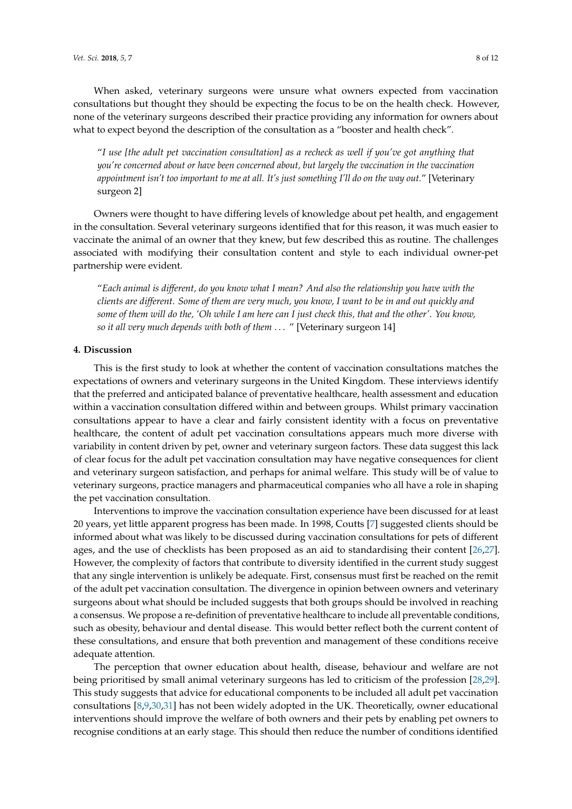When asked, veterinary surgeons were unsure what owners expected from vaccination consultations but thought they should be expecting the focus to be on the health check. However, none of the veterinary surgeons described their practice providing any information for owners about what to expect beyond the description of the consultation as a "booster and health check".

"*I use [the adult pet vaccination consultation] as a recheck as well if you've got anything that you're concerned about or have been concerned about, but largely the vaccination in the vaccination appointment isn't too important to me at all. It's just something I'll do on the way out.*" [Veterinary surgeon 2]

Owners were thought to have differing levels of knowledge about pet health, and engagement in the consultation. Several veterinary surgeons identified that for this reason, it was much easier to vaccinate the animal of an owner that they knew, but few described this as routine. The challenges associated with modifying their consultation content and style to each individual owner-pet partnership were evident.

"*Each animal is different, do you know what I mean? And also the relationship you have with the clients are different. Some of them are very much, you know, I want to be in and out quickly and some of them will do the, 'Oh while I am here can I just check this, that and the other'. You know, so it all very much depends with both of them* . . . " [Veterinary surgeon 14]

#### **4. Discussion**

This is the first study to look at whether the content of vaccination consultations matches the expectations of owners and veterinary surgeons in the United Kingdom. These interviews identify that the preferred and anticipated balance of preventative healthcare, health assessment and education within a vaccination consultation differed within and between groups. Whilst primary vaccination consultations appear to have a clear and fairly consistent identity with a focus on preventative healthcare, the content of adult pet vaccination consultations appears much more diverse with variability in content driven by pet, owner and veterinary surgeon factors. These data suggest this lack of clear focus for the adult pet vaccination consultation may have negative consequences for client and veterinary surgeon satisfaction, and perhaps for animal welfare. This study will be of value to veterinary surgeons, practice managers and pharmaceutical companies who all have a role in shaping the pet vaccination consultation.

Interventions to improve the vaccination consultation experience have been discussed for at least 20 years, yet little apparent progress has been made. In 1998, Coutts [\[7\]](#page-9-13) suggested clients should be informed about what was likely to be discussed during vaccination consultations for pets of different ages, and the use of checklists has been proposed as an aid to standardising their content [\[26,](#page-10-10)[27\]](#page-10-11). However, the complexity of factors that contribute to diversity identified in the current study suggest that any single intervention is unlikely be adequate. First, consensus must first be reached on the remit of the adult pet vaccination consultation. The divergence in opinion between owners and veterinary surgeons about what should be included suggests that both groups should be involved in reaching a consensus. We propose a re-definition of preventative healthcare to include all preventable conditions, such as obesity, behaviour and dental disease. This would better reflect both the current content of these consultations, and ensure that both prevention and management of these conditions receive adequate attention.

The perception that owner education about health, disease, behaviour and welfare are not being prioritised by small animal veterinary surgeons has led to criticism of the profession [\[28,](#page-10-12)[29\]](#page-10-13). This study suggests that advice for educational components to be included all adult pet vaccination consultations [\[8,](#page-9-6)[9,](#page-9-7)[30,](#page-10-14)[31\]](#page-10-15) has not been widely adopted in the UK. Theoretically, owner educational interventions should improve the welfare of both owners and their pets by enabling pet owners to recognise conditions at an early stage. This should then reduce the number of conditions identified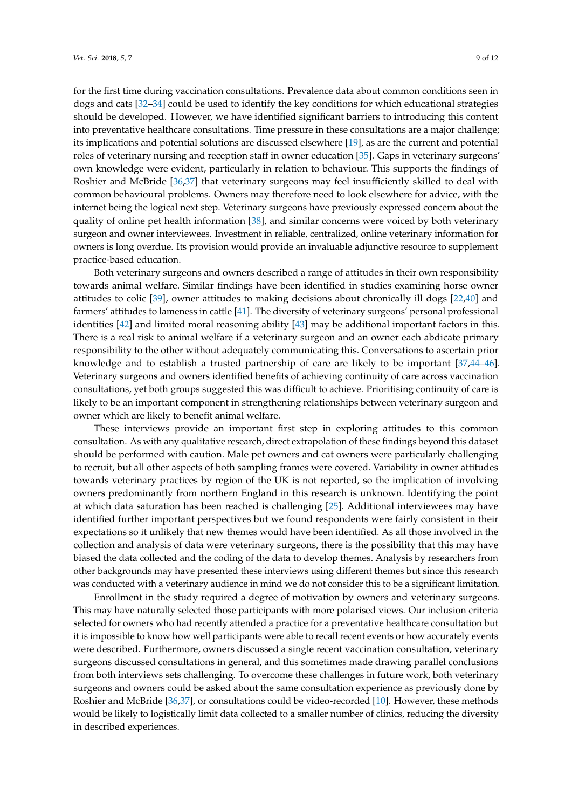for the first time during vaccination consultations. Prevalence data about common conditions seen in dogs and cats [\[32–](#page-10-16)[34\]](#page-10-17) could be used to identify the key conditions for which educational strategies should be developed. However, we have identified significant barriers to introducing this content into preventative healthcare consultations. Time pressure in these consultations are a major challenge; its implications and potential solutions are discussed elsewhere [\[19\]](#page-10-3), as are the current and potential roles of veterinary nursing and reception staff in owner education [\[35\]](#page-10-18). Gaps in veterinary surgeons' own knowledge were evident, particularly in relation to behaviour. This supports the findings of Roshier and McBride [\[36](#page-10-19)[,37\]](#page-10-20) that veterinary surgeons may feel insufficiently skilled to deal with common behavioural problems. Owners may therefore need to look elsewhere for advice, with the internet being the logical next step. Veterinary surgeons have previously expressed concern about the quality of online pet health information [\[38\]](#page-10-21), and similar concerns were voiced by both veterinary surgeon and owner interviewees. Investment in reliable, centralized, online veterinary information for owners is long overdue. Its provision would provide an invaluable adjunctive resource to supplement practice-based education.

Both veterinary surgeons and owners described a range of attitudes in their own responsibility towards animal welfare. Similar findings have been identified in studies examining horse owner attitudes to colic [\[39\]](#page-10-22), owner attitudes to making decisions about chronically ill dogs [\[22,](#page-10-6)[40\]](#page-10-23) and farmers' attitudes to lameness in cattle [\[41\]](#page-11-0). The diversity of veterinary surgeons' personal professional identities [\[42\]](#page-11-1) and limited moral reasoning ability [\[43\]](#page-11-2) may be additional important factors in this. There is a real risk to animal welfare if a veterinary surgeon and an owner each abdicate primary responsibility to the other without adequately communicating this. Conversations to ascertain prior knowledge and to establish a trusted partnership of care are likely to be important [\[37,](#page-10-20)[44–](#page-11-3)[46\]](#page-11-4). Veterinary surgeons and owners identified benefits of achieving continuity of care across vaccination consultations, yet both groups suggested this was difficult to achieve. Prioritising continuity of care is likely to be an important component in strengthening relationships between veterinary surgeon and owner which are likely to benefit animal welfare.

These interviews provide an important first step in exploring attitudes to this common consultation. As with any qualitative research, direct extrapolation of these findings beyond this dataset should be performed with caution. Male pet owners and cat owners were particularly challenging to recruit, but all other aspects of both sampling frames were covered. Variability in owner attitudes towards veterinary practices by region of the UK is not reported, so the implication of involving owners predominantly from northern England in this research is unknown. Identifying the point at which data saturation has been reached is challenging [\[25\]](#page-10-9). Additional interviewees may have identified further important perspectives but we found respondents were fairly consistent in their expectations so it unlikely that new themes would have been identified. As all those involved in the collection and analysis of data were veterinary surgeons, there is the possibility that this may have biased the data collected and the coding of the data to develop themes. Analysis by researchers from other backgrounds may have presented these interviews using different themes but since this research was conducted with a veterinary audience in mind we do not consider this to be a significant limitation.

Enrollment in the study required a degree of motivation by owners and veterinary surgeons. This may have naturally selected those participants with more polarised views. Our inclusion criteria selected for owners who had recently attended a practice for a preventative healthcare consultation but it is impossible to know how well participants were able to recall recent events or how accurately events were described. Furthermore, owners discussed a single recent vaccination consultation, veterinary surgeons discussed consultations in general, and this sometimes made drawing parallel conclusions from both interviews sets challenging. To overcome these challenges in future work, both veterinary surgeons and owners could be asked about the same consultation experience as previously done by Roshier and McBride [\[36,](#page-10-19)[37\]](#page-10-20), or consultations could be video-recorded [\[10\]](#page-9-8). However, these methods would be likely to logistically limit data collected to a smaller number of clinics, reducing the diversity in described experiences.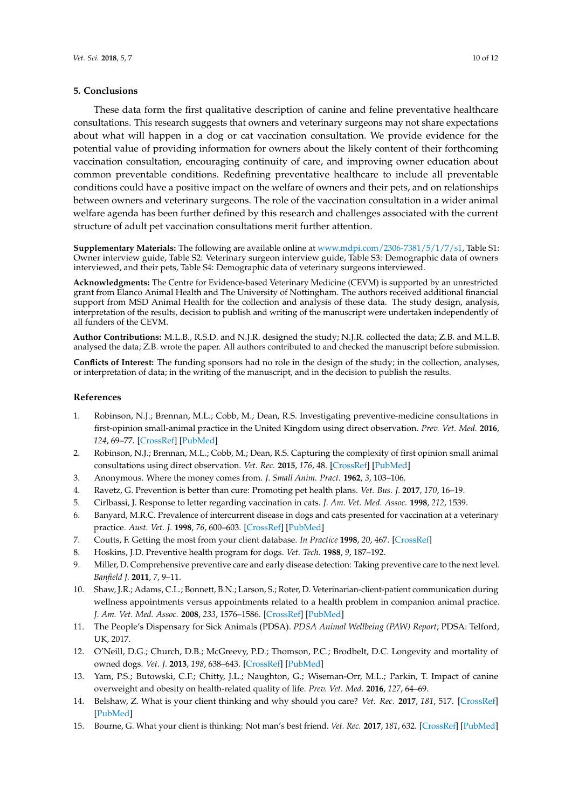## **5. Conclusions**

These data form the first qualitative description of canine and feline preventative healthcare consultations. This research suggests that owners and veterinary surgeons may not share expectations about what will happen in a dog or cat vaccination consultation. We provide evidence for the potential value of providing information for owners about the likely content of their forthcoming vaccination consultation, encouraging continuity of care, and improving owner education about common preventable conditions. Redefining preventative healthcare to include all preventable conditions could have a positive impact on the welfare of owners and their pets, and on relationships between owners and veterinary surgeons. The role of the vaccination consultation in a wider animal welfare agenda has been further defined by this research and challenges associated with the current structure of adult pet vaccination consultations merit further attention.

**Supplementary Materials:** The following are available online at [www.mdpi.com/2306-7381/5/1/7/s1,](www.mdpi.com/2306-7381/5/1/7/s1) Table S1: Owner interview guide, Table S2: Veterinary surgeon interview guide, Table S3: Demographic data of owners interviewed, and their pets, Table S4: Demographic data of veterinary surgeons interviewed.

**Acknowledgments:** The Centre for Evidence-based Veterinary Medicine (CEVM) is supported by an unrestricted grant from Elanco Animal Health and The University of Nottingham. The authors received additional financial support from MSD Animal Health for the collection and analysis of these data. The study design, analysis, interpretation of the results, decision to publish and writing of the manuscript were undertaken independently of all funders of the CEVM.

**Author Contributions:** M.L.B., R.S.D. and N.J.R. designed the study; N.J.R. collected the data; Z.B. and M.L.B. analysed the data; Z.B. wrote the paper. All authors contributed to and checked the manuscript before submission.

**Conflicts of Interest:** The funding sponsors had no role in the design of the study; in the collection, analyses, or interpretation of data; in the writing of the manuscript, and in the decision to publish the results.

## **References**

- <span id="page-9-0"></span>1. Robinson, N.J.; Brennan, M.L.; Cobb, M.; Dean, R.S. Investigating preventive-medicine consultations in first-opinion small-animal practice in the United Kingdom using direct observation. *Prev. Vet. Med.* **2016**, *124*, 69–77. [\[CrossRef\]](http://dx.doi.org/10.1016/j.prevetmed.2015.12.010) [\[PubMed\]](http://www.ncbi.nlm.nih.gov/pubmed/26775818)
- <span id="page-9-1"></span>2. Robinson, N.J.; Brennan, M.L.; Cobb, M.; Dean, R.S. Capturing the complexity of first opinion small animal consultations using direct observation. *Vet. Rec.* **2015**, *176*, 48. [\[CrossRef\]](http://dx.doi.org/10.1136/vr.102548) [\[PubMed\]](http://www.ncbi.nlm.nih.gov/pubmed/25262057)
- <span id="page-9-2"></span>3. Anonymous. Where the money comes from. *J. Small Anim. Pract.* **1962**, *3*, 103–106.
- <span id="page-9-3"></span>4. Ravetz, G. Prevention is better than cure: Promoting pet health plans. *Vet. Bus. J.* **2017**, *170*, 16–19.
- <span id="page-9-4"></span>5. Cirlbassi, J. Response to letter regarding vaccination in cats. *J. Am. Vet. Med. Assoc.* **1998**, *212*, 1539.
- <span id="page-9-5"></span>6. Banyard, M.R.C. Prevalence of intercurrent disease in dogs and cats presented for vaccination at a veterinary practice. *Aust. Vet. J.* **1998**, *76*, 600–603. [\[CrossRef\]](http://dx.doi.org/10.1111/j.1751-0813.1998.tb10236.x) [\[PubMed\]](http://www.ncbi.nlm.nih.gov/pubmed/9791709)
- <span id="page-9-13"></span>7. Coutts, F. Getting the most from your client database. *In Practice* **1998**, *20*, 467. [\[CrossRef\]](http://dx.doi.org/10.1136/inpract.20.8.467)
- <span id="page-9-6"></span>8. Hoskins, J.D. Preventive health program for dogs. *Vet. Tech.* **1988**, *9*, 187–192.
- <span id="page-9-7"></span>9. Miller, D. Comprehensive preventive care and early disease detection: Taking preventive care to the next level. *Banfield J.* **2011**, *7*, 9–11.
- <span id="page-9-8"></span>10. Shaw, J.R.; Adams, C.L.; Bonnett, B.N.; Larson, S.; Roter, D. Veterinarian-client-patient communication during wellness appointments versus appointments related to a health problem in companion animal practice. *J. Am. Vet. Med. Assoc.* **2008**, *233*, 1576–1586. [\[CrossRef\]](http://dx.doi.org/10.2460/javma.233.10.1576) [\[PubMed\]](http://www.ncbi.nlm.nih.gov/pubmed/19014290)
- <span id="page-9-9"></span>11. The People's Dispensary for Sick Animals (PDSA). *PDSA Animal Wellbeing (PAW) Report*; PDSA: Telford, UK, 2017.
- <span id="page-9-10"></span>12. O'Neill, D.G.; Church, D.B.; McGreevy, P.D.; Thomson, P.C.; Brodbelt, D.C. Longevity and mortality of owned dogs. *Vet. J.* **2013**, *198*, 638–643. [\[CrossRef\]](http://dx.doi.org/10.1016/j.tvjl.2013.09.020) [\[PubMed\]](http://www.ncbi.nlm.nih.gov/pubmed/24206631)
- <span id="page-9-11"></span>13. Yam, P.S.; Butowski, C.F.; Chitty, J.L.; Naughton, G.; Wiseman-Orr, M.L.; Parkin, T. Impact of canine overweight and obesity on health-related quality of life. *Prev. Vet. Med.* **2016**, *127*, 64–69.
- <span id="page-9-12"></span>14. Belshaw, Z. What is your client thinking and why should you care? *Vet. Rec.* **2017**, *181*, 517. [\[CrossRef\]](http://dx.doi.org/10.1136/vr.j5234) [\[PubMed\]](http://www.ncbi.nlm.nih.gov/pubmed/29127179)
- 15. Bourne, G. What your client is thinking: Not man's best friend. *Vet. Rec.* **2017**, *181*, 632. [\[CrossRef\]](http://dx.doi.org/10.1136/vr.j5704) [\[PubMed\]](http://www.ncbi.nlm.nih.gov/pubmed/29222158)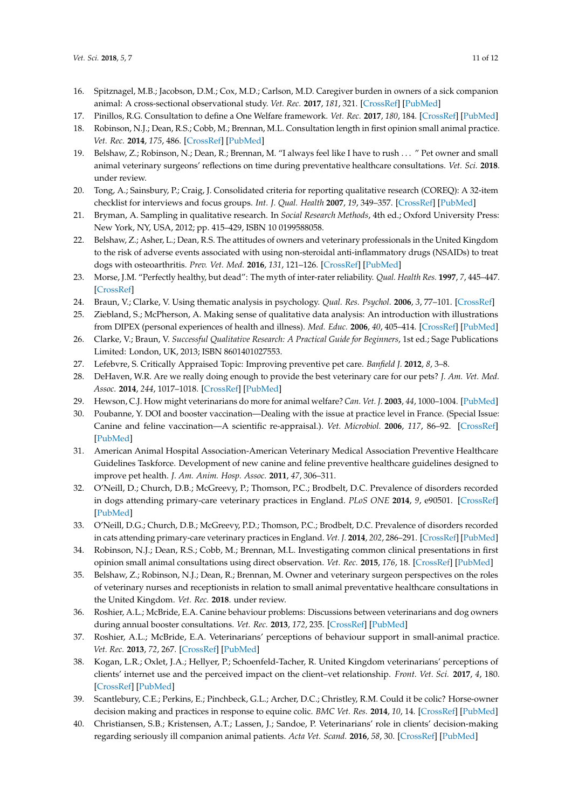- <span id="page-10-0"></span>16. Spitznagel, M.B.; Jacobson, D.M.; Cox, M.D.; Carlson, M.D. Caregiver burden in owners of a sick companion animal: A cross-sectional observational study. *Vet. Rec.* **2017**, *181*, 321. [\[CrossRef\]](http://dx.doi.org/10.1136/vr.104295) [\[PubMed\]](http://www.ncbi.nlm.nih.gov/pubmed/28870976)
- <span id="page-10-1"></span>17. Pinillos, R.G. Consultation to define a One Welfare framework. *Vet. Rec.* **2017**, *180*, 184. [\[CrossRef\]](http://dx.doi.org/10.1136/vr.j827) [\[PubMed\]](http://www.ncbi.nlm.nih.gov/pubmed/28213430)
- <span id="page-10-2"></span>18. Robinson, N.J.; Dean, R.S.; Cobb, M.; Brennan, M.L. Consultation length in first opinion small animal practice. *Vet. Rec.* **2014**, *175*, 486. [\[CrossRef\]](http://dx.doi.org/10.1136/vr.102713) [\[PubMed\]](http://www.ncbi.nlm.nih.gov/pubmed/25261270)
- <span id="page-10-3"></span>19. Belshaw, Z.; Robinson, N.; Dean, R.; Brennan, M. "I always feel like I have to rush . . . " Pet owner and small animal veterinary surgeons' reflections on time during preventative healthcare consultations. *Vet. Sci.* **2018**. under review.
- <span id="page-10-4"></span>20. Tong, A.; Sainsbury, P.; Craig, J. Consolidated criteria for reporting qualitative research (COREQ): A 32-item checklist for interviews and focus groups. *Int. J. Qual. Health* **2007**, *19*, 349–357. [\[CrossRef\]](http://dx.doi.org/10.1093/intqhc/mzm042) [\[PubMed\]](http://www.ncbi.nlm.nih.gov/pubmed/17872937)
- <span id="page-10-5"></span>21. Bryman, A. Sampling in qualitative research. In *Social Research Methods*, 4th ed.; Oxford University Press: New York, NY, USA, 2012; pp. 415–429, ISBN 10 0199588058.
- <span id="page-10-6"></span>22. Belshaw, Z.; Asher, L.; Dean, R.S. The attitudes of owners and veterinary professionals in the United Kingdom to the risk of adverse events associated with using non-steroidal anti-inflammatory drugs (NSAIDs) to treat dogs with osteoarthritis. *Prev. Vet. Med.* **2016**, *131*, 121–126. [\[CrossRef\]](http://dx.doi.org/10.1016/j.prevetmed.2016.07.017) [\[PubMed\]](http://www.ncbi.nlm.nih.gov/pubmed/27544261)
- <span id="page-10-7"></span>23. Morse, J.M. "Perfectly healthy, but dead": The myth of inter-rater reliability. *Qual. Health Res.* **1997**, *7*, 445–447. [\[CrossRef\]](http://dx.doi.org/10.1177/104973239700700401)
- <span id="page-10-8"></span>24. Braun, V.; Clarke, V. Using thematic analysis in psychology. *Qual. Res. Psychol.* **2006**, *3*, 77–101. [\[CrossRef\]](http://dx.doi.org/10.1191/1478088706qp063oa)
- <span id="page-10-9"></span>25. Ziebland, S.; McPherson, A. Making sense of qualitative data analysis: An introduction with illustrations from DIPEX (personal experiences of health and illness). *Med. Educ.* **2006**, *40*, 405–414. [\[CrossRef\]](http://dx.doi.org/10.1111/j.1365-2929.2006.02467.x) [\[PubMed\]](http://www.ncbi.nlm.nih.gov/pubmed/16635119)
- <span id="page-10-10"></span>26. Clarke, V.; Braun, V. *Successful Qualitative Research: A Practical Guide for Beginners*, 1st ed.; Sage Publications Limited: London, UK, 2013; ISBN 8601401027553.
- <span id="page-10-11"></span>27. Lefebvre, S. Critically Appraised Topic: Improving preventive pet care. *Banfield J.* **2012**, *8*, 3–8.
- <span id="page-10-12"></span>28. DeHaven, W.R. Are we really doing enough to provide the best veterinary care for our pets? *J. Am. Vet. Med. Assoc.* **2014**, *244*, 1017–1018. [\[CrossRef\]](http://dx.doi.org/10.2460/javma.244.9.1017) [\[PubMed\]](http://www.ncbi.nlm.nih.gov/pubmed/24739107)
- <span id="page-10-13"></span>29. Hewson, C.J. How might veterinarians do more for animal welfare? *Can. Vet. J.* **2003**, *44*, 1000–1004. [\[PubMed\]](http://www.ncbi.nlm.nih.gov/pubmed/14703090)
- <span id="page-10-14"></span>30. Poubanne, Y. DOI and booster vaccination—Dealing with the issue at practice level in France. (Special Issue: Canine and feline vaccination—A scientific re-appraisal.). *Vet. Microbiol.* **2006**, *117*, 86–92. [\[CrossRef\]](http://dx.doi.org/10.1016/j.vetmic.2006.04.016) [\[PubMed\]](http://www.ncbi.nlm.nih.gov/pubmed/16920281)
- <span id="page-10-15"></span>31. American Animal Hospital Association-American Veterinary Medical Association Preventive Healthcare Guidelines Taskforce. Development of new canine and feline preventive healthcare guidelines designed to improve pet health. *J. Am. Anim. Hosp. Assoc.* **2011**, *47*, 306–311.
- <span id="page-10-16"></span>32. O'Neill, D.; Church, D.B.; McGreevy, P.; Thomson, P.C.; Brodbelt, D.C. Prevalence of disorders recorded in dogs attending primary-care veterinary practices in England. *PLoS ONE* **2014**, *9*, e90501. [\[CrossRef\]](http://dx.doi.org/10.1371/journal.pone.0090501) [\[PubMed\]](http://www.ncbi.nlm.nih.gov/pubmed/24594665)
- 33. O'Neill, D.G.; Church, D.B.; McGreevy, P.D.; Thomson, P.C.; Brodbelt, D.C. Prevalence of disorders recorded in cats attending primary-care veterinary practices in England. *Vet. J.* **2014**, *202*, 286–291. [\[CrossRef\]](http://dx.doi.org/10.1016/j.tvjl.2014.08.004) [\[PubMed\]](http://www.ncbi.nlm.nih.gov/pubmed/25178688)
- <span id="page-10-17"></span>34. Robinson, N.J.; Dean, R.S.; Cobb, M.; Brennan, M.L. Investigating common clinical presentations in first opinion small animal consultations using direct observation. *Vet. Rec.* **2015**, *176*, 18. [\[CrossRef\]](http://dx.doi.org/10.1136/vr.102751) [\[PubMed\]](http://www.ncbi.nlm.nih.gov/pubmed/25564472)
- <span id="page-10-18"></span>35. Belshaw, Z.; Robinson, N.J.; Dean, R.; Brennan, M. Owner and veterinary surgeon perspectives on the roles of veterinary nurses and receptionists in relation to small animal preventative healthcare consultations in the United Kingdom. *Vet. Rec.* **2018**. under review.
- <span id="page-10-19"></span>36. Roshier, A.L.; McBride, E.A. Canine behaviour problems: Discussions between veterinarians and dog owners during annual booster consultations. *Vet. Rec.* **2013**, *172*, 235. [\[CrossRef\]](http://dx.doi.org/10.1136/vr.101125) [\[PubMed\]](http://www.ncbi.nlm.nih.gov/pubmed/23457279)
- <span id="page-10-20"></span>37. Roshier, A.L.; McBride, E.A. Veterinarians' perceptions of behaviour support in small-animal practice. *Vet. Rec.* **2013**, *72*, 267. [\[CrossRef\]](http://dx.doi.org/10.1136/vr.101124) [\[PubMed\]](http://www.ncbi.nlm.nih.gov/pubmed/23475046)
- <span id="page-10-21"></span>38. Kogan, L.R.; Oxlet, J.A.; Hellyer, P.; Schoenfeld-Tacher, R. United Kingdom veterinarians' perceptions of clients' internet use and the perceived impact on the client–vet relationship. *Front. Vet. Sci.* **2017**, *4*, 180. [\[CrossRef\]](http://dx.doi.org/10.3389/fvets.2017.00180) [\[PubMed\]](http://www.ncbi.nlm.nih.gov/pubmed/29098148)
- <span id="page-10-22"></span>39. Scantlebury, C.E.; Perkins, E.; Pinchbeck, G.L.; Archer, D.C.; Christley, R.M. Could it be colic? Horse-owner decision making and practices in response to equine colic. *BMC Vet. Res.* **2014**, *10*, 14. [\[CrossRef\]](http://dx.doi.org/10.1186/1746-6148-10-S1-S1) [\[PubMed\]](http://www.ncbi.nlm.nih.gov/pubmed/25238026)
- <span id="page-10-23"></span>40. Christiansen, S.B.; Kristensen, A.T.; Lassen, J.; Sandoe, P. Veterinarians' role in clients' decision-making regarding seriously ill companion animal patients. *Acta Vet. Scand.* **2016**, *58*, 30. [\[CrossRef\]](http://dx.doi.org/10.1186/s13028-016-0211-x) [\[PubMed\]](http://www.ncbi.nlm.nih.gov/pubmed/27221809)